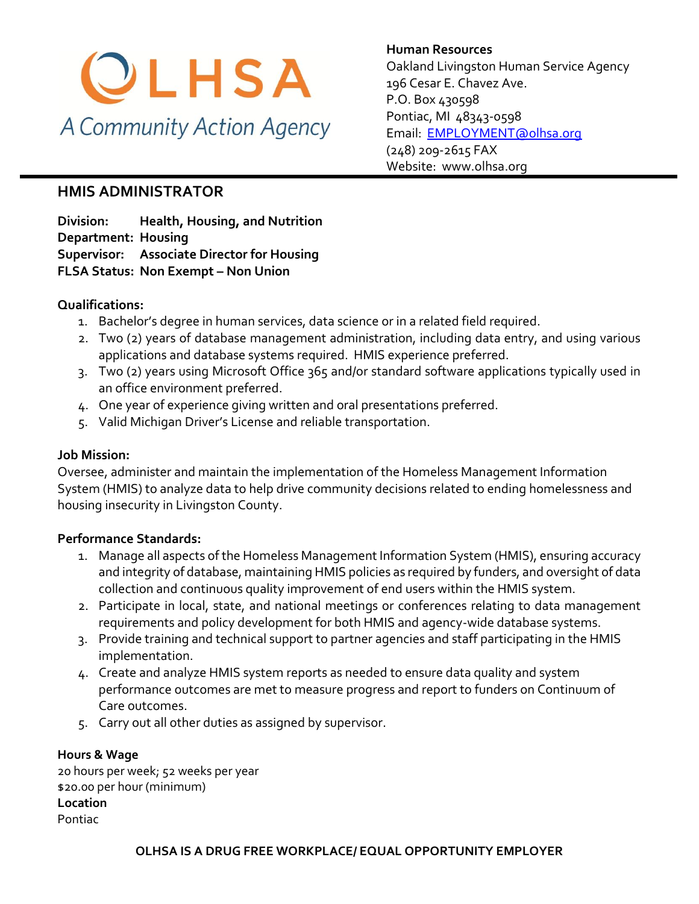

**Human Resources**  Oakland Livingston Human Service Agency 196 Cesar E. Chavez Ave. P.O. Box 430598 Pontiac, MI 48343-0598 [Email: EMPLOYMENT@olhsa.org](mailto:JamilaT@olhsa.org) (248) 209-2615 FAX Website: www.olhsa.org

# **HMIS ADMINISTRATOR**

**Division: Health, Housing, and Nutrition Department: Housing Supervisor: Associate Director for Housing FLSA Status: Non Exempt – Non Union**

### **Qualifications:**

- 1. Bachelor's degree in human services, data science or in a related field required.
- 2. Two (2) years of database management administration, including data entry, and using various applications and database systems required. HMIS experience preferred.
- 3. Two (2) years using Microsoft Office 365 and/or standard software applications typically used in an office environment preferred.
- 4. One year of experience giving written and oral presentations preferred.
- 5. Valid Michigan Driver's License and reliable transportation.

#### **Job Mission:**

Oversee, administer and maintain the implementation of the Homeless Management Information System (HMIS) to analyze data to help drive community decisions related to ending homelessness and housing insecurity in Livingston County.

## **Performance Standards:**

- 1. Manage all aspects of the Homeless Management Information System (HMIS), ensuring accuracy and integrity of database, maintaining HMIS policies as required by funders, and oversight of data collection and continuous quality improvement of end users within the HMIS system.
- 2. Participate in local, state, and national meetings or conferences relating to data management requirements and policy development for both HMIS and agency-wide database systems.
- 3. Provide training and technical support to partner agencies and staff participating in the HMIS implementation.
- 4. Create and analyze HMIS system reports as needed to ensure data quality and system performance outcomes are met to measure progress and report to funders on Continuum of Care outcomes.
- 5. Carry out all other duties as assigned by supervisor.

#### **Hours & Wage**

20 hours per week; 52 weeks per year \$20.00 per hour (minimum) **Location** Pontiac